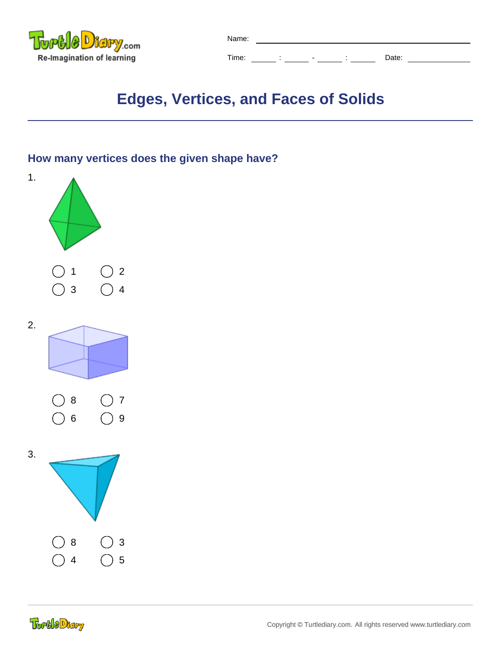

| Name: |  |                          |                          |       |  |
|-------|--|--------------------------|--------------------------|-------|--|
| Time: |  | $\overline{\phantom{0}}$ | $\overline{\phantom{a}}$ | Date: |  |

# **Edges, Vertices, and Faces of Solids**

#### **How many vertices does the given shape have?**

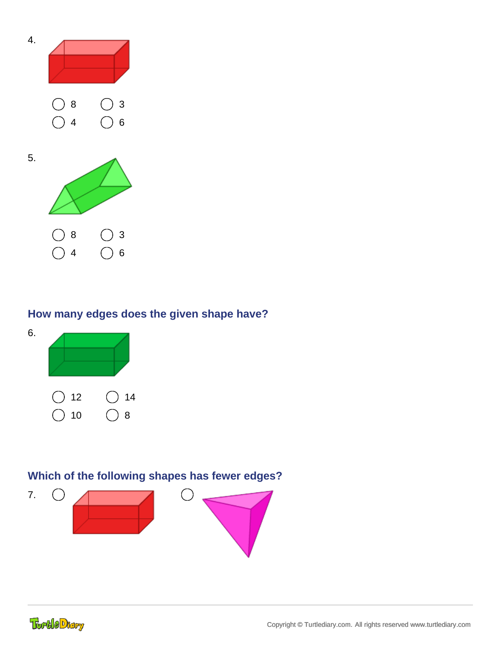

#### **How many edges does the given shape have?**



### **Which of the following shapes has fewer edges?**



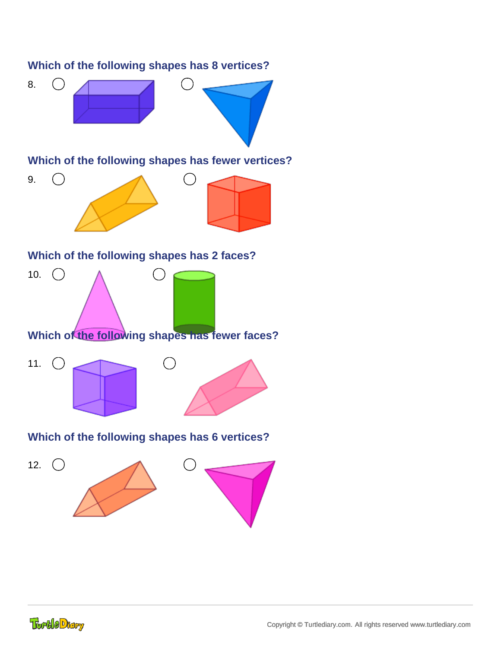

## **TortleDtary**